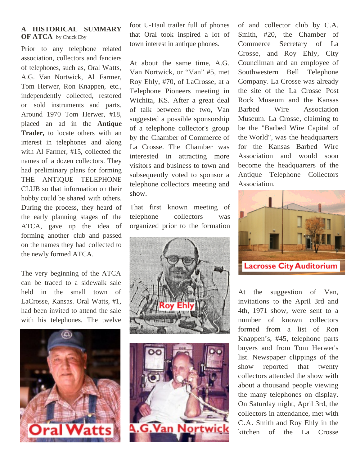## **A HISTORICAL SUMMARY OF ATCA** by Chuck Eby

Prior to any telephone related association, collectors and fanciers of telephones, such as, Oral Watts, A.G. Van Nortwick, Al Farmer, Tom Herwer, Ron Knappen, etc., independently collected, restored or sold instruments and parts. Around 1970 Tom Herwer, #18, placed an ad in the **Antique Trader,** to locate others with an interest in telephones and along with Al Farmer, #15, collected the names of a dozen collectors. They had preliminary plans for forming THE ANTIQUE TELEPHONE CLUB so that information on their hobby could be shared with others. During the process, they heard of the early planning stages of the ATCA, gave up the idea of forming another club and passed on the names they had collected to the newly formed ATCA.

The very beginning of the ATCA can be traced to a sidewalk sale held in the small town of LaCrosse, Kansas. Oral Watts, #1, had been invited to attend the sale with his telephones. The twelve



foot U-Haul trailer full of phones that Oral took inspired a lot of town interest in antique phones.

At about the same time, A.G. Van Nortwick, or "Van" #5, met Roy Ehly, #70, of LaCrosse, at a Telephone Pioneers meeting in Wichita, KS. After a great deal of talk between the two, Van suggested a possible sponsorship of a telephone collector's group by the Chamber of Commerce of La Crosse. The Chamber was interested in attracting more visitors and business to town and subsequently voted to sponsor a telephone collectors meeting and show.

That first known meeting of telephone collectors was organized prior to the formation





of and collector club by C.A. Smith, #20, the Chamber of Commerce Secretary of La Crosse, and Roy Ehly, City Councilman and an employee of Southwestern Bell Telephone Company. La Crosse was already the site of the La Crosse Post Rock Museum and the Kansas Barbed Wire Association Museum. La Crosse, claiming to be the "Barbed Wire Capital of the World", was the headquarters for the Kansas Barbed Wire Association and would soon become the headquarters of the Antique Telephone Collectors Association.



At the suggestion of Van, invitations to the April 3rd and 4th, 1971 show, were sent to a number of known collectors formed from a list of Ron Knappen's, #45, telephone parts buyers and from Tom Herwer's list. Newspaper clippings of the show reported that twenty collectors attended the show with about a thousand people viewing the many telephones on display. On Saturday night, April 3rd, the collectors in attendance, met with C.A. Smith and Roy Ehly in the kitchen of the La Crosse